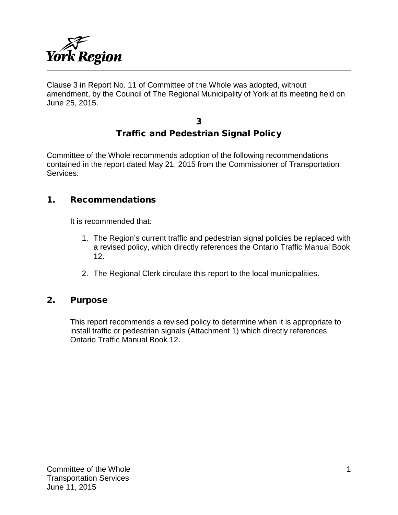

Clause 3 in Report No. 11 of Committee of the Whole was adopted, without amendment, by the Council of The Regional Municipality of York at its meeting held on June 25, 2015.

### 3 Traffic and Pedestrian Signal Policy

Committee of the Whole recommends adoption of the following recommendations contained in the report dated May 21, 2015 from the Commissioner of Transportation Services:

### 1. Recommendations

It is recommended that:

- 1. The Region's current traffic and pedestrian signal policies be replaced with a revised policy, which directly references the Ontario Traffic Manual Book 12.
- 2. The Regional Clerk circulate this report to the local municipalities.

### 2. Purpose

This report recommends a revised policy to determine when it is appropriate to install traffic or pedestrian signals (Attachment 1) which directly references Ontario Traffic Manual Book 12.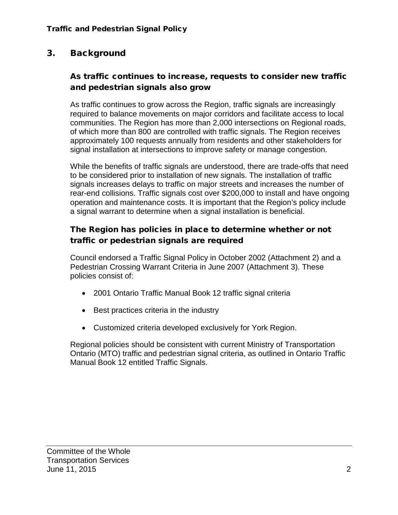## 3. Background

### As traffic continues to increase, requests to consider new traffic and pedestrian signals also grow

As traffic continues to grow across the Region, traffic signals are increasingly required to balance movements on major corridors and facilitate access to local communities. The Region has more than 2,000 intersections on Regional roads, of which more than 800 are controlled with traffic signals. The Region receives approximately 100 requests annually from residents and other stakeholders for signal installation at intersections to improve safety or manage congestion.

While the benefits of traffic signals are understood, there are trade-offs that need to be considered prior to installation of new signals. The installation of traffic signals increases delays to traffic on major streets and increases the number of rear-end collisions. Traffic signals cost over \$200,000 to install and have ongoing operation and maintenance costs. It is important that the Region's policy include a signal warrant to determine when a signal installation is beneficial.

### The Region has policies in place to determine whether or not traffic or pedestrian signals are required

Council endorsed a Traffic Signal Policy in October 2002 (Attachment 2) and a Pedestrian Crossing Warrant Criteria in June 2007 (Attachment 3). These policies consist of:

- 2001 Ontario Traffic Manual Book 12 traffic signal criteria
- Best practices criteria in the industry
- Customized criteria developed exclusively for York Region.

Regional policies should be consistent with current Ministry of Transportation Ontario (MTO) traffic and pedestrian signal criteria, as outlined in Ontario Traffic Manual Book 12 entitled Traffic Signals.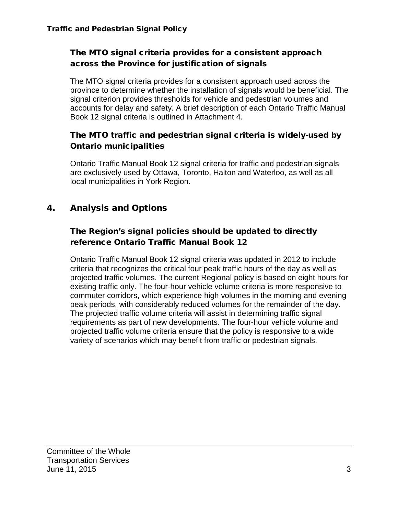### The MTO signal criteria provides for a consistent approach across the Province for justification of signals

The MTO signal criteria provides for a consistent approach used across the province to determine whether the installation of signals would be beneficial. The signal criterion provides thresholds for vehicle and pedestrian volumes and accounts for delay and safety. A brief description of each Ontario Traffic Manual Book 12 signal criteria is outlined in Attachment 4.

### The MTO traffic and pedestrian signal criteria is widely-used by Ontario municipalities

Ontario Traffic Manual Book 12 signal criteria for traffic and pedestrian signals are exclusively used by Ottawa, Toronto, Halton and Waterloo, as well as all local municipalities in York Region.

# 4. Analysis and Options

### The Region's signal policies should be updated to directly reference Ontario Traffic Manual Book 12

Ontario Traffic Manual Book 12 signal criteria was updated in 2012 to include criteria that recognizes the critical four peak traffic hours of the day as well as projected traffic volumes. The current Regional policy is based on eight hours for existing traffic only. The four-hour vehicle volume criteria is more responsive to commuter corridors, which experience high volumes in the morning and evening peak periods, with considerably reduced volumes for the remainder of the day. The projected traffic volume criteria will assist in determining traffic signal requirements as part of new developments. The four-hour vehicle volume and projected traffic volume criteria ensure that the policy is responsive to a wide variety of scenarios which may benefit from traffic or pedestrian signals.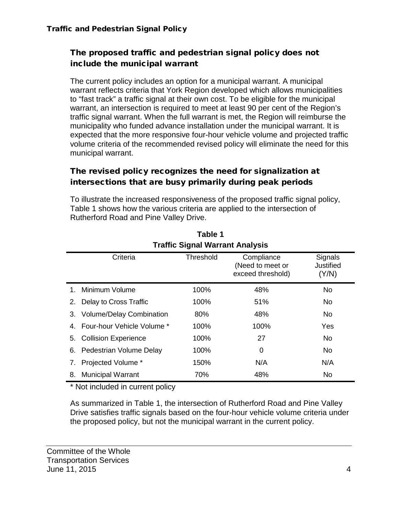### The proposed traffic and pedestrian signal policy does not include the municipal warrant

The current policy includes an option for a municipal warrant. A municipal warrant reflects criteria that York Region developed which allows municipalities to "fast track" a traffic signal at their own cost. To be eligible for the municipal warrant, an intersection is required to meet at least 90 per cent of the Region's traffic signal warrant. When the full warrant is met, the Region will reimburse the municipality who funded advance installation under the municipal warrant. It is expected that the more responsive four-hour vehicle volume and projected traffic volume criteria of the recommended revised policy will eliminate the need for this municipal warrant.

### The revised policy recognizes the need for signalization at intersections that are busy primarily during peak periods

To illustrate the increased responsiveness of the proposed traffic signal policy, Table 1 shows how the various criteria are applied to the intersection of Rutherford Road and Pine Valley Drive.

|         | <b>Traffic Signal Warrant Analysis</b> |           |                                                     |                               |  |
|---------|----------------------------------------|-----------|-----------------------------------------------------|-------------------------------|--|
|         | Criteria                               | Threshold | Compliance<br>(Need to meet or<br>exceed threshold) | Signals<br>Justified<br>(Y/N) |  |
| $1_{-}$ | Minimum Volume                         | 100%      | 48%                                                 | No.                           |  |
| 2.      | Delay to Cross Traffic                 | 100%      | 51%                                                 | No.                           |  |
|         | 3. Volume/Delay Combination            | 80%       | 48%                                                 | No.                           |  |
|         | 4. Four-hour Vehicle Volume *          | 100%      | 100%                                                | Yes                           |  |
| 5.      | <b>Collision Experience</b>            | 100%      | 27                                                  | No.                           |  |
| 6.      | Pedestrian Volume Delay                | 100%      | 0                                                   | No.                           |  |
| 7.      | Projected Volume *                     | 150%      | N/A                                                 | N/A                           |  |
| 8.      | <b>Municipal Warrant</b>               | 70%       | 48%                                                 | No                            |  |

**Table 1**

\* Not included in current policy

As summarized in Table 1, the intersection of Rutherford Road and Pine Valley Drive satisfies traffic signals based on the four-hour vehicle volume criteria under the proposed policy, but not the municipal warrant in the current policy.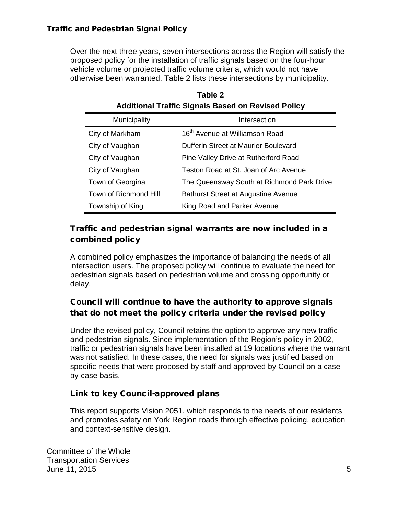Over the next three years, seven intersections across the Region will satisfy the proposed policy for the installation of traffic signals based on the four-hour vehicle volume or projected traffic volume criteria, which would not have otherwise been warranted. Table 2 lists these intersections by municipality.

| Additional Traffic Signals Based on Revised Policy |                                            |  |
|----------------------------------------------------|--------------------------------------------|--|
| Municipality                                       | Intersection                               |  |
| City of Markham                                    | 16 <sup>th</sup> Avenue at Williamson Road |  |
| City of Vaughan                                    | Dufferin Street at Maurier Boulevard       |  |
| City of Vaughan                                    | Pine Valley Drive at Rutherford Road       |  |
| City of Vaughan                                    | Teston Road at St. Joan of Arc Avenue      |  |
| Town of Georgina                                   | The Queensway South at Richmond Park Drive |  |
| Town of Richmond Hill                              | <b>Bathurst Street at Augustine Avenue</b> |  |
| Township of King                                   | King Road and Parker Avenue                |  |

| Table 2                                                   |
|-----------------------------------------------------------|
| <b>Additional Traffic Signals Based on Revised Policy</b> |

### Traffic and pedestrian signal warrants are now included in a combined policy

A combined policy emphasizes the importance of balancing the needs of all intersection users. The proposed policy will continue to evaluate the need for pedestrian signals based on pedestrian volume and crossing opportunity or delay.

## Council will continue to have the authority to approve signals that do not meet the policy criteria under the revised policy

Under the revised policy, Council retains the option to approve any new traffic and pedestrian signals. Since implementation of the Region's policy in 2002, traffic or pedestrian signals have been installed at 19 locations where the warrant was not satisfied. In these cases, the need for signals was justified based on specific needs that were proposed by staff and approved by Council on a caseby-case basis.

# Link to key Council-approved plans

This report supports Vision 2051, which responds to the needs of our residents and promotes safety on York Region roads through effective policing, education and context-sensitive design.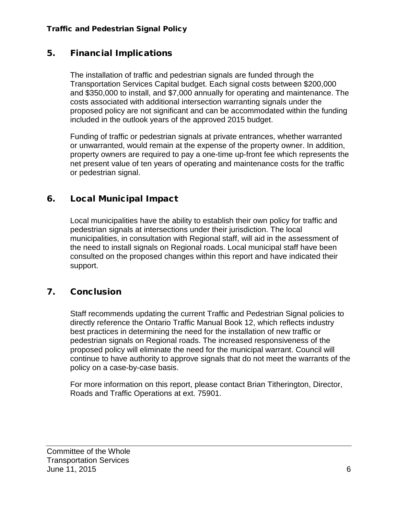### 5. Financial Implications

The installation of traffic and pedestrian signals are funded through the Transportation Services Capital budget. Each signal costs between \$200,000 and \$350,000 to install, and \$7,000 annually for operating and maintenance. The costs associated with additional intersection warranting signals under the proposed policy are not significant and can be accommodated within the funding included in the outlook years of the approved 2015 budget.

Funding of traffic or pedestrian signals at private entrances, whether warranted or unwarranted, would remain at the expense of the property owner. In addition, property owners are required to pay a one-time up-front fee which represents the net present value of ten years of operating and maintenance costs for the traffic or pedestrian signal.

## 6. Local Municipal Impact

Local municipalities have the ability to establish their own policy for traffic and pedestrian signals at intersections under their jurisdiction. The local municipalities, in consultation with Regional staff, will aid in the assessment of the need to install signals on Regional roads. Local municipal staff have been consulted on the proposed changes within this report and have indicated their support.

# 7. Conclusion

Staff recommends updating the current Traffic and Pedestrian Signal policies to directly reference the Ontario Traffic Manual Book 12, which reflects industry best practices in determining the need for the installation of new traffic or pedestrian signals on Regional roads. The increased responsiveness of the proposed policy will eliminate the need for the municipal warrant. Council will continue to have authority to approve signals that do not meet the warrants of the policy on a case-by-case basis.

For more information on this report, please contact Brian Titherington, Director, Roads and Traffic Operations at ext. 75901.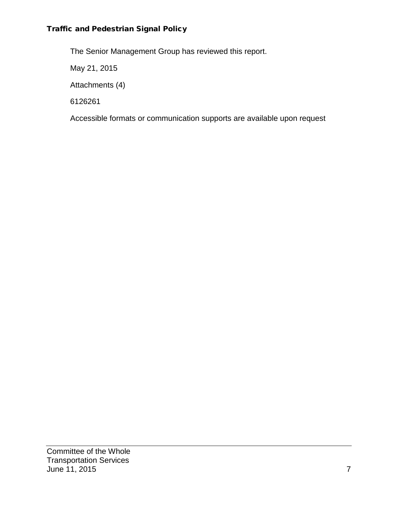#### Traffic and Pedestrian Signal Policy

The Senior Management Group has reviewed this report.

May 21, 2015

Attachments (4)

6126261

Accessible formats or communication supports are available upon request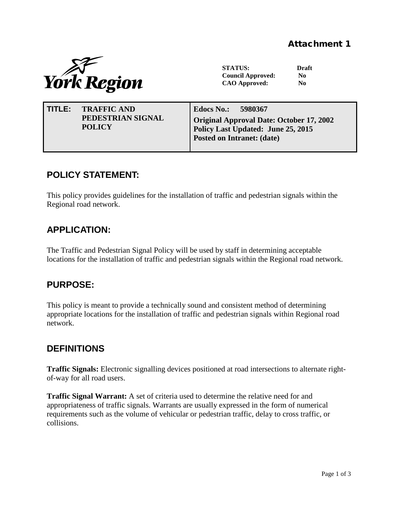

**STATUS: Draft Council Approved: No CAO Approved: No**

| <b>TRAFFIC AND</b> | Edocs No.: 5980367                       |
|--------------------|------------------------------------------|
| TITLE:             | Original Approval Date: October 17, 2002 |
| PEDESTRIAN SIGNAL  | Policy Last Updated: June 25, 2015       |
| <b>POLICY</b>      | Posted on Intranet: (date)               |

## **POLICY STATEMENT:**

This policy provides guidelines for the installation of traffic and pedestrian signals within the Regional road network.

# **APPLICATION:**

The Traffic and Pedestrian Signal Policy will be used by staff in determining acceptable locations for the installation of traffic and pedestrian signals within the Regional road network.

### **PURPOSE:**

This policy is meant to provide a technically sound and consistent method of determining appropriate locations for the installation of traffic and pedestrian signals within Regional road network.

### **DEFINITIONS**

**Traffic Signals:** Electronic signalling devices positioned at road intersections to alternate rightof-way for all road users.

**Traffic Signal Warrant:** A set of criteria used to determine the relative need for and appropriateness of traffic signals. Warrants are usually expressed in the form of numerical requirements such as the volume of vehicular or pedestrian traffic, delay to cross traffic, or collisions.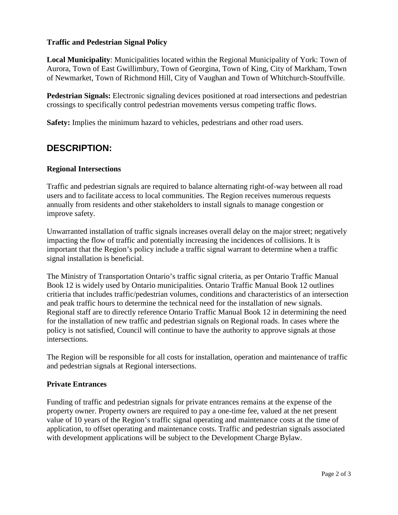#### **Traffic and Pedestrian Signal Policy**

**Local Municipality**: Municipalities located within the Regional Municipality of York: Town of Aurora, Town of East Gwillimbury, Town of Georgina, Town of King, City of Markham, Town of Newmarket, Town of Richmond Hill, City of Vaughan and Town of Whitchurch-Stouffville.

**Pedestrian Signals:** Electronic signaling devices positioned at road intersections and pedestrian crossings to specifically control pedestrian movements versus competing traffic flows.

**Safety:** Implies the minimum hazard to vehicles, pedestrians and other road users.

## **DESCRIPTION:**

#### **Regional Intersections**

Traffic and pedestrian signals are required to balance alternating right-of-way between all road users and to facilitate access to local communities. The Region receives numerous requests annually from residents and other stakeholders to install signals to manage congestion or improve safety.

Unwarranted installation of traffic signals increases overall delay on the major street; negatively impacting the flow of traffic and potentially increasing the incidences of collisions. It is important that the Region's policy include a traffic signal warrant to determine when a traffic signal installation is beneficial.

The Ministry of Transportation Ontario's traffic signal criteria, as per Ontario Traffic Manual Book 12 is widely used by Ontario municipalities. Ontario Traffic Manual Book 12 outlines critieria that includes traffic/pedestrian volumes, conditions and characteristics of an intersection and peak traffic hours to determine the technical need for the installation of new signals. Regional staff are to directly reference Ontario Traffic Manual Book 12 in determining the need for the installation of new traffic and pedestrian signals on Regional roads. In cases where the policy is not satisfied, Council will continue to have the authority to approve signals at those intersections.

The Region will be responsible for all costs for installation, operation and maintenance of traffic and pedestrian signals at Regional intersections.

#### **Private Entrances**

Funding of traffic and pedestrian signals for private entrances remains at the expense of the property owner. Property owners are required to pay a one-time fee, valued at the net present value of 10 years of the Region's traffic signal operating and maintenance costs at the time of application, to offset operating and maintenance costs. Traffic and pedestrian signals associated with development applications will be subject to the Development Charge Bylaw.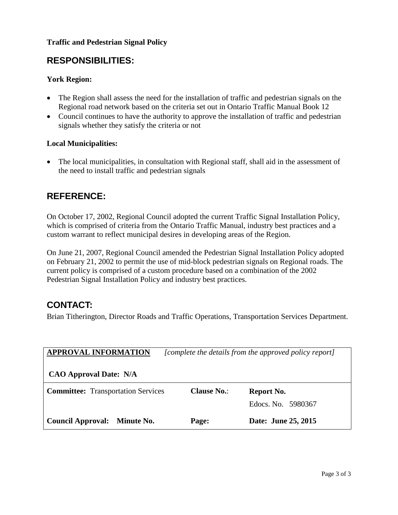#### **Traffic and Pedestrian Signal Policy**

### **RESPONSIBILITIES:**

#### **York Region:**

- The Region shall assess the need for the installation of traffic and pedestrian signals on the Regional road network based on the criteria set out in Ontario Traffic Manual Book 12
- Council continues to have the authority to approve the installation of traffic and pedestrian signals whether they satisfy the criteria or not

#### **Local Municipalities:**

• The local municipalities, in consultation with Regional staff, shall aid in the assessment of the need to install traffic and pedestrian signals

### **REFERENCE:**

On October 17, 2002, Regional Council adopted the current Traffic Signal Installation Policy, which is comprised of criteria from the Ontario Traffic Manual, industry best practices and a custom warrant to reflect municipal desires in developing areas of the Region.

On June 21, 2007, Regional Council amended the Pedestrian Signal Installation Policy adopted on February 21, 2002 to permit the use of mid-block pedestrian signals on Regional roads. The current policy is comprised of a custom procedure based on a combination of the 2002 Pedestrian Signal Installation Policy and industry best practices.

### **CONTACT:**

Brian Titherington, Director Roads and Traffic Operations, Transportation Services Department.

| <b>APPROVAL INFORMATION</b>               | [complete the details from the approved policy report] |                     |  |
|-------------------------------------------|--------------------------------------------------------|---------------------|--|
| <b>CAO Approval Date: N/A</b>             |                                                        |                     |  |
| <b>Committee:</b> Transportation Services | <b>Clause No.:</b>                                     | <b>Report No.</b>   |  |
|                                           |                                                        | Edocs. No. 5980367  |  |
| <b>Council Approval:</b><br>Minute No.    | Page:                                                  | Date: June 25, 2015 |  |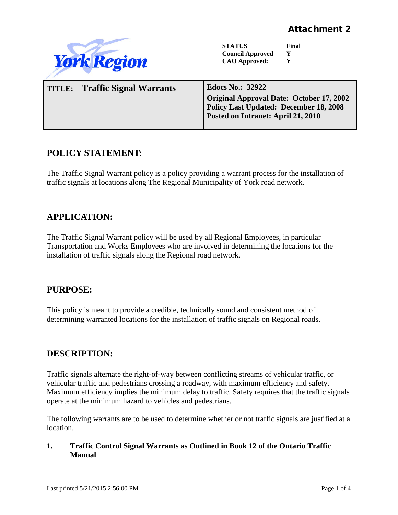

### **POLICY STATEMENT:**

The Traffic Signal Warrant policy is a policy providing a warrant process for the installation of traffic signals at locations along The Regional Municipality of York road network.

### **APPLICATION:**

The Traffic Signal Warrant policy will be used by all Regional Employees, in particular Transportation and Works Employees who are involved in determining the locations for the installation of traffic signals along the Regional road network.

### **PURPOSE:**

This policy is meant to provide a credible, technically sound and consistent method of determining warranted locations for the installation of traffic signals on Regional roads.

### **DESCRIPTION:**

Traffic signals alternate the right-of-way between conflicting streams of vehicular traffic, or vehicular traffic and pedestrians crossing a roadway, with maximum efficiency and safety. Maximum efficiency implies the minimum delay to traffic. Safety requires that the traffic signals operate at the minimum hazard to vehicles and pedestrians.

The following warrants are to be used to determine whether or not traffic signals are justified at a location.

#### **1. Traffic Control Signal Warrants as Outlined in Book 12 of the Ontario Traffic Manual**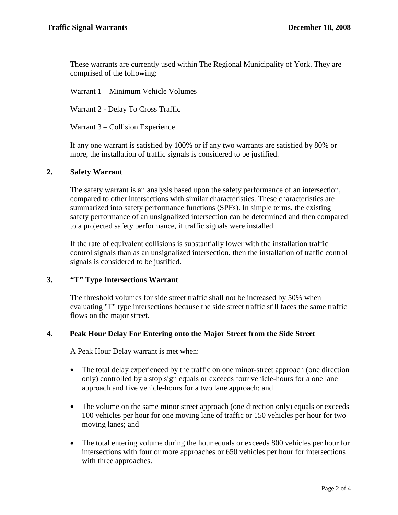These warrants are currently used within The Regional Municipality of York. They are comprised of the following:

Warrant 1 – Minimum Vehicle Volumes

Warrant 2 - Delay To Cross Traffic

Warrant 3 – Collision Experience

If any one warrant is satisfied by 100% or if any two warrants are satisfied by 80% or more, the installation of traffic signals is considered to be justified.

#### **2. Safety Warrant**

The safety warrant is an analysis based upon the safety performance of an intersection, compared to other intersections with similar characteristics. These characteristics are summarized into safety performance functions (SPFs). In simple terms, the existing safety performance of an unsignalized intersection can be determined and then compared to a projected safety performance, if traffic signals were installed.

If the rate of equivalent collisions is substantially lower with the installation traffic control signals than as an unsignalized intersection, then the installation of traffic control signals is considered to be justified.

#### **3. "T" Type Intersections Warrant**

The threshold volumes for side street traffic shall not be increased by 50% when evaluating "T" type intersections because the side street traffic still faces the same traffic flows on the major street.

#### **4. Peak Hour Delay For Entering onto the Major Street from the Side Street**

A Peak Hour Delay warrant is met when:

- The total delay experienced by the traffic on one minor-street approach (one direction only) controlled by a stop sign equals or exceeds four vehicle-hours for a one lane approach and five vehicle-hours for a two lane approach; and
- The volume on the same minor street approach (one direction only) equals or exceeds 100 vehicles per hour for one moving lane of traffic or 150 vehicles per hour for two moving lanes; and
- The total entering volume during the hour equals or exceeds 800 vehicles per hour for intersections with four or more approaches or 650 vehicles per hour for intersections with three approaches.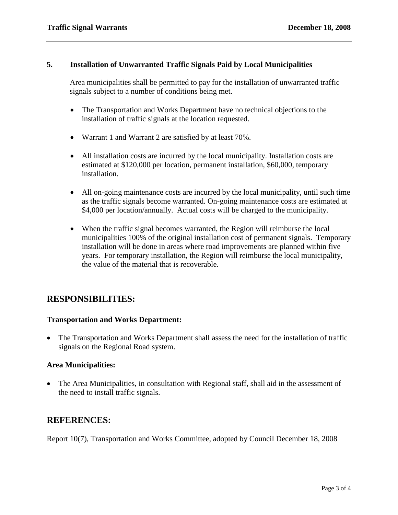#### **5. Installation of Unwarranted Traffic Signals Paid by Local Municipalities**

Area municipalities shall be permitted to pay for the installation of unwarranted traffic signals subject to a number of conditions being met.

- The Transportation and Works Department have no technical objections to the installation of traffic signals at the location requested.
- Warrant 1 and Warrant 2 are satisfied by at least 70%.
- All installation costs are incurred by the local municipality. Installation costs are estimated at \$120,000 per location, permanent installation, \$60,000, temporary installation.
- All on-going maintenance costs are incurred by the local municipality, until such time as the traffic signals become warranted. On-going maintenance costs are estimated at \$4,000 per location/annually. Actual costs will be charged to the municipality.
- When the traffic signal becomes warranted, the Region will reimburse the local municipalities 100% of the original installation cost of permanent signals. Temporary installation will be done in areas where road improvements are planned within five years. For temporary installation, the Region will reimburse the local municipality, the value of the material that is recoverable.

#### **RESPONSIBILITIES:**

#### **Transportation and Works Department:**

• The Transportation and Works Department shall assess the need for the installation of traffic signals on the Regional Road system.

#### **Area Municipalities:**

• The Area Municipalities, in consultation with Regional staff, shall aid in the assessment of the need to install traffic signals.

#### **REFERENCES:**

Report 10(7), Transportation and Works Committee, adopted by Council December 18, 2008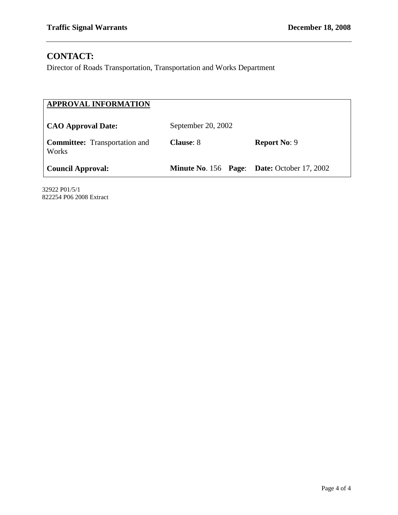## **CONTACT:**

Director of Roads Transportation, Transportation and Works Department

| <b>APPROVAL INFORMATION</b>                   |                                                    |                     |  |
|-----------------------------------------------|----------------------------------------------------|---------------------|--|
| <b>CAO Approval Date:</b>                     | September 20, 2002                                 |                     |  |
| <b>Committee:</b> Transportation and<br>Works | <b>Clause: 8</b>                                   | <b>Report No: 9</b> |  |
| <b>Council Approval:</b>                      | <b>Minute No. 156 Page: Date: October 17, 2002</b> |                     |  |

32922 P01/5/1 822254 P06 2008 Extract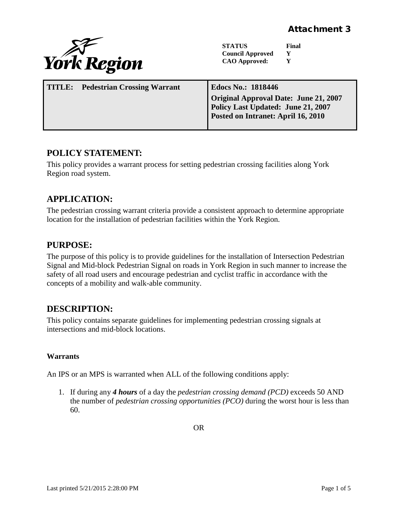

**STATUS Final Council Approved Y**<br>CAO Approved: **Y CAO Approved:** 

| <b>TITLE:</b> Pedestrian Crossing Warrant | <b>Edocs No.: 1818446</b>             |
|-------------------------------------------|---------------------------------------|
|                                           | Original Approval Date: June 21, 2007 |
|                                           | Policy Last Updated: June 21, 2007    |
|                                           | Posted on Intranet: April 16, 2010    |
|                                           |                                       |

### **POLICY STATEMENT:**

This policy provides a warrant process for setting pedestrian crossing facilities along York Region road system.

## **APPLICATION:**

The pedestrian crossing warrant criteria provide a consistent approach to determine appropriate location for the installation of pedestrian facilities within the York Region.

### **PURPOSE:**

The purpose of this policy is to provide guidelines for the installation of Intersection Pedestrian Signal and Mid-block Pedestrian Signal on roads in York Region in such manner to increase the safety of all road users and encourage pedestrian and cyclist traffic in accordance with the concepts of a mobility and walk-able community.

# **DESCRIPTION:**

This policy contains separate guidelines for implementing pedestrian crossing signals at intersections and mid-block locations.

#### **Warrants**

An IPS or an MPS is warranted when ALL of the following conditions apply:

1. If during any *4 hours* of a day the *pedestrian crossing demand (PCD)* exceeds 50 AND the number of *pedestrian crossing opportunities (PCO)* during the worst hour is less than 60.

OR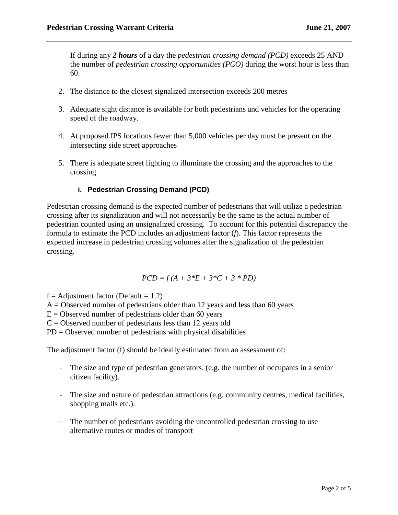If during any *2 hours* of a day the *pedestrian crossing demand (PCD)* exceeds 25 AND the number of *pedestrian crossing opportunities (PCO)* during the worst hour is less than 60.

- 2. The distance to the closest signalized intersection exceeds 200 metres
- 3. Adequate sight distance is available for both pedestrians and vehicles for the operating speed of the roadway.
- 4. At proposed IPS locations fewer than 5,000 vehicles per day must be present on the intersecting side street approaches
- 5. There is adequate street lighting to illuminate the crossing and the approaches to the crossing

#### **i. Pedestrian Crossing Demand (PCD)**

Pedestrian crossing demand is the expected number of pedestrians that will utilize a pedestrian crossing after its signalization and will not necessarily be the same as the actual number of pedestrian counted using an unsignalized crossing. To account for this potential discrepancy the formula to estimate the PCD includes an adjustment factor (*f*). This factor represents the expected increase in pedestrian crossing volumes after the signalization of the pedestrian crossing.

$$
PCD = f(A + 3*E + 3*C + 3 * PD)
$$

 $f =$ Adjustment factor (Default = 1.2)

 $A =$ Observed number of pedestrians older than 12 years and less than 60 years

 $E =$  Observed number of pedestrians older than 60 years

 $C =$  Observed number of pedestrians less than 12 years old

 $PD = Observed$  number of pedestrians with physical disabilities

The adjustment factor (f) should be ideally estimated from an assessment of:

- The size and type of pedestrian generators. (e.g. the number of occupants in a senior citizen facility).
- The size and nature of pedestrian attractions (e.g. community centres, medical facilities, shopping malls etc.).
- The number of pedestrians avoiding the uncontrolled pedestrian crossing to use alternative routes or modes of transport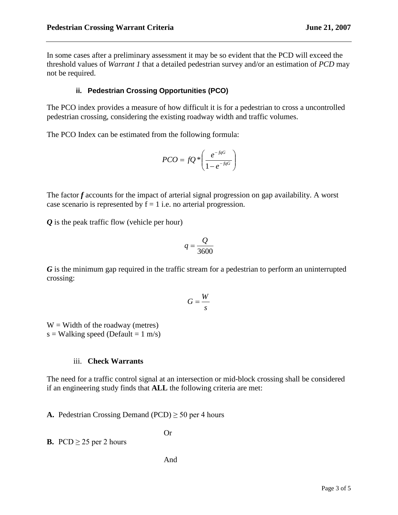In some cases after a preliminary assessment it may be so evident that the PCD will exceed the threshold values of *Warrant 1* that a detailed pedestrian survey and/or an estimation of *PCD* may not be required.

#### **ii. Pedestrian Crossing Opportunities (PCO)**

The PCO index provides a measure of how difficult it is for a pedestrian to cross a uncontrolled pedestrian crossing, considering the existing roadway width and traffic volumes.

The PCO Index can be estimated from the following formula:

$$
PCO = fQ * \left(\frac{e^{-fqG}}{1 - e^{-fqG}}\right)
$$

The factor *f* accounts for the impact of arterial signal progression on gap availability. A worst case scenario is represented by  $f = 1$  i.e. no arterial progression.

*Q* is the peak traffic flow (vehicle per hour)

$$
q = \frac{Q}{3600}
$$

*G* is the minimum gap required in the traffic stream for a pedestrian to perform an uninterrupted crossing:

$$
G=\frac{W}{s}
$$

 $W =$  Width of the roadway (metres) s = Walking speed (Default =  $1 \text{ m/s}$ )

#### iii. **Check Warrants**

The need for a traffic control signal at an intersection or mid-block crossing shall be considered if an engineering study finds that **ALL** the following criteria are met:

**A.** Pedestrian Crossing Demand (PCD)  $\geq$  50 per 4 hours

**B.** PCD  $\geq$  25 per 2 hours

Or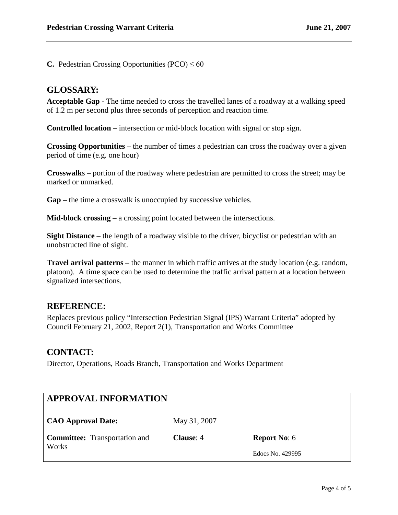**C.** Pedestrian Crossing Opportunities (PCO)  $\leq 60$ 

#### **GLOSSARY:**

**Acceptable Gap -** The time needed to cross the travelled lanes of a roadway at a walking speed of 1.2 m per second plus three seconds of perception and reaction time.

**Controlled location** – intersection or mid-block location with signal or stop sign.

**Crossing Opportunities –** the number of times a pedestrian can cross the roadway over a given period of time (e.g. one hour)

**Crosswalk**s – portion of the roadway where pedestrian are permitted to cross the street; may be marked or unmarked.

**Gap –** the time a crosswalk is unoccupied by successive vehicles.

**Mid-block crossing** – a crossing point located between the intersections.

**Sight Distance** – the length of a roadway visible to the driver, bicyclist or pedestrian with an unobstructed line of sight.

**Travel arrival patterns –** the manner in which traffic arrives at the study location (e.g. random, platoon). A time space can be used to determine the traffic arrival pattern at a location between signalized intersections.

#### **REFERENCE:**

Replaces previous policy "Intersection Pedestrian Signal (IPS) Warrant Criteria" adopted by Council February 21, 2002, Report 2(1), Transportation and Works Committee

#### **CONTACT:**

Director, Operations, Roads Branch, Transportation and Works Department

| <b>APPROVAL INFORMATION</b>          |                  |                     |  |
|--------------------------------------|------------------|---------------------|--|
| <b>CAO Approval Date:</b>            | May 31, 2007     |                     |  |
| <b>Committee:</b> Transportation and | <b>Clause:</b> 4 | <b>Report No: 6</b> |  |
| Works                                |                  | Edocs No. 429995    |  |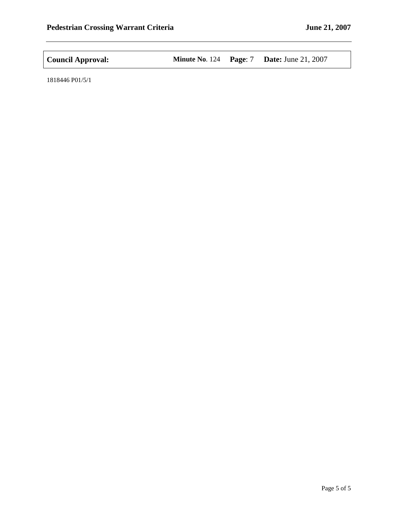| <b>Council Approval:</b> |  |  | <b>Minute No. 124 Page: 7 Date: June 21, 2007</b> |
|--------------------------|--|--|---------------------------------------------------|
|--------------------------|--|--|---------------------------------------------------|

1818446 P01/5/1